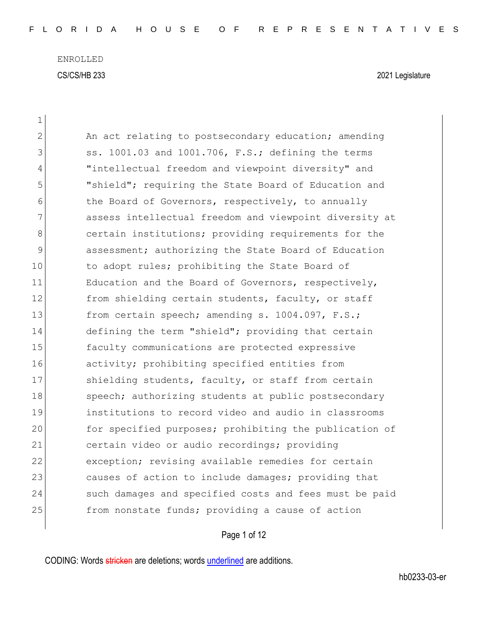| 1           |                                                        |
|-------------|--------------------------------------------------------|
| 2           | An act relating to postsecondary education; amending   |
| 3           | ss. 1001.03 and 1001.706, F.S.; defining the terms     |
| 4           | "intellectual freedom and viewpoint diversity" and     |
| 5           | "shield"; requiring the State Board of Education and   |
| 6           | the Board of Governors, respectively, to annually      |
| 7           | assess intellectual freedom and viewpoint diversity at |
| 8           | certain institutions; providing requirements for the   |
| $\mathsf 9$ | assessment; authorizing the State Board of Education   |
| 10          | to adopt rules; prohibiting the State Board of         |
| 11          | Education and the Board of Governors, respectively,    |
| 12          | from shielding certain students, faculty, or staff     |
| 13          | from certain speech; amending s. 1004.097, F.S.;       |
| 14          | defining the term "shield"; providing that certain     |
| 15          | faculty communications are protected expressive        |
| 16          | activity; prohibiting specified entities from          |
| 17          | shielding students, faculty, or staff from certain     |
| 18          | speech; authorizing students at public postsecondary   |
| 19          | institutions to record video and audio in classrooms   |
| 20          | for specified purposes; prohibiting the publication of |
| 21          | certain video or audio recordings; providing           |
| 22          | exception; revising available remedies for certain     |
| 23          | causes of action to include damages; providing that    |
| 24          | such damages and specified costs and fees must be paid |
| 25          | from nonstate funds; providing a cause of action       |
|             |                                                        |

Page 1 of 12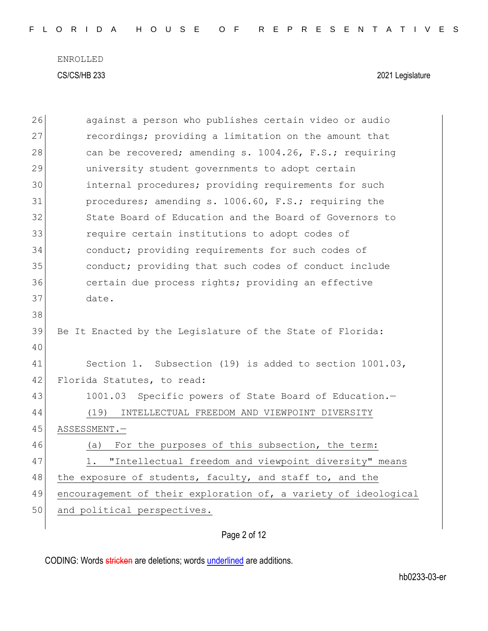|  |  |  |  |  |  | FLORIDA HOUSE OF REPRESENTATIVES |  |  |  |  |  |  |  |  |
|--|--|--|--|--|--|----------------------------------|--|--|--|--|--|--|--|--|
|  |  |  |  |  |  |                                  |  |  |  |  |  |  |  |  |

| 26 | against a person who publishes certain video or audio           |
|----|-----------------------------------------------------------------|
| 27 | recordings; providing a limitation on the amount that           |
| 28 | can be recovered; amending s. 1004.26, F.S.; requiring          |
| 29 | university student governments to adopt certain                 |
| 30 | internal procedures; providing requirements for such            |
| 31 | procedures; amending s. 1006.60, F.S.; requiring the            |
| 32 | State Board of Education and the Board of Governors to          |
| 33 | require certain institutions to adopt codes of                  |
| 34 | conduct; providing requirements for such codes of               |
| 35 | conduct; providing that such codes of conduct include           |
| 36 | certain due process rights; providing an effective              |
| 37 | date.                                                           |
| 38 |                                                                 |
| 39 | Be It Enacted by the Legislature of the State of Florida:       |
| 40 |                                                                 |
| 41 | Section 1. Subsection (19) is added to section 1001.03,         |
| 42 | Florida Statutes, to read:                                      |
| 43 | 1001.03 Specific powers of State Board of Education.-           |
| 44 | INTELLECTUAL FREEDOM AND VIEWPOINT DIVERSITY<br>(19)            |
| 45 | ASSESSMENT.-                                                    |
| 46 | For the purposes of this subsection, the term:<br>(a)           |
| 47 | 1. "Intellectual freedom and viewpoint diversity" means         |
| 48 | the exposure of students, faculty, and staff to, and the        |
| 49 | encouragement of their exploration of, a variety of ideological |
| 50 | and political perspectives.                                     |
|    |                                                                 |

Page 2 of 12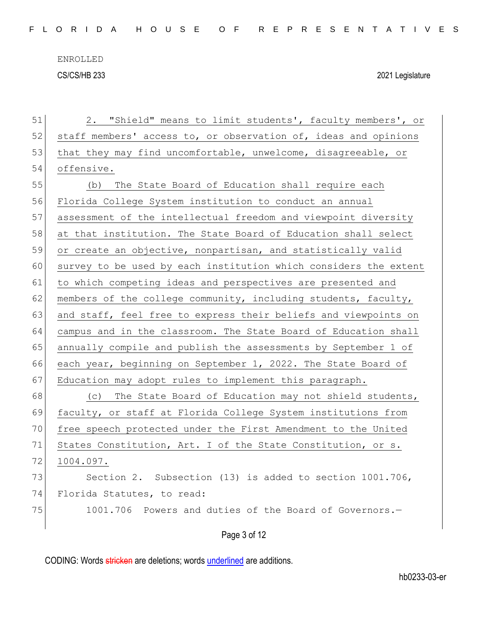| 51 | "Shield" means to limit students', faculty members', or<br>2.    |
|----|------------------------------------------------------------------|
| 52 | staff members' access to, or observation of, ideas and opinions  |
| 53 | that they may find uncomfortable, unwelcome, disagreeable, or    |
| 54 | offensive.                                                       |
| 55 | The State Board of Education shall require each<br>(b)           |
| 56 | Florida College System institution to conduct an annual          |
| 57 | assessment of the intellectual freedom and viewpoint diversity   |
| 58 | at that institution. The State Board of Education shall select   |
| 59 | or create an objective, nonpartisan, and statistically valid     |
| 60 | survey to be used by each institution which considers the extent |
| 61 | to which competing ideas and perspectives are presented and      |
| 62 | members of the college community, including students, faculty,   |
| 63 | and staff, feel free to express their beliefs and viewpoints on  |
| 64 | campus and in the classroom. The State Board of Education shall  |
| 65 | annually compile and publish the assessments by September 1 of   |
| 66 | each year, beginning on September 1, 2022. The State Board of    |
| 67 | Education may adopt rules to implement this paragraph.           |
| 68 | The State Board of Education may not shield students,<br>(C)     |
| 69 | faculty, or staff at Florida College System institutions from    |
| 70 | free speech protected under the First Amendment to the United    |
| 71 | States Constitution, Art. I of the State Constitution, or s.     |
| 72 | 1004.097.                                                        |
| 73 | Section 2.<br>Subsection (13) is added to section 1001.706,      |
| 74 | Florida Statutes, to read:                                       |
| 75 | 1001.706 Powers and duties of the Board of Governors.-           |
|    |                                                                  |
|    | Page 3 of 12                                                     |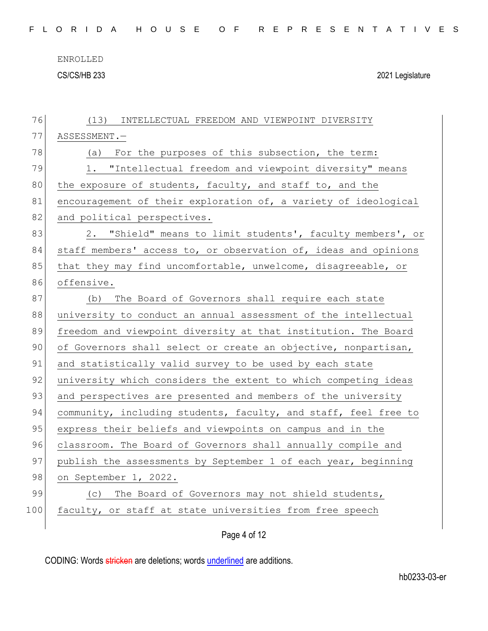ENROLLED

CS/CS/HB 233 2021 Legislature

| 76  | (13) INTELLECTUAL FREEDOM AND VIEWPOINT DIVERSITY               |
|-----|-----------------------------------------------------------------|
| 77  | ASSESSMENT.-                                                    |
| 78  | (a) For the purposes of this subsection, the term:              |
| 79  | 1. "Intellectual freedom and viewpoint diversity" means         |
| 80  | the exposure of students, faculty, and staff to, and the        |
| 81  | encouragement of their exploration of, a variety of ideological |
| 82  | and political perspectives.                                     |
| 83  | 2. "Shield" means to limit students', faculty members', or      |
| 84  | staff members' access to, or observation of, ideas and opinions |
| 85  | that they may find uncomfortable, unwelcome, disagreeable, or   |
| 86  | offensive.                                                      |
| 87  | (b) The Board of Governors shall require each state             |
| 88  | university to conduct an annual assessment of the intellectual  |
| 89  | freedom and viewpoint diversity at that institution. The Board  |
| 90  | of Governors shall select or create an objective, nonpartisan,  |
| 91  | and statistically valid survey to be used by each state         |
| 92  | university which considers the extent to which competing ideas  |
| 93  | and perspectives are presented and members of the university    |
| 94  | community, including students, faculty, and staff, feel free to |
| 95  | express their beliefs and viewpoints on campus and in the       |
| 96  | classroom. The Board of Governors shall annually compile and    |
| 97  | publish the assessments by September 1 of each year, beginning  |
| 98  | on September 1, 2022.                                           |
| 99  | The Board of Governors may not shield students,<br>(C)          |
| 100 | faculty, or staff at state universities from free speech        |
|     |                                                                 |

Page 4 of 12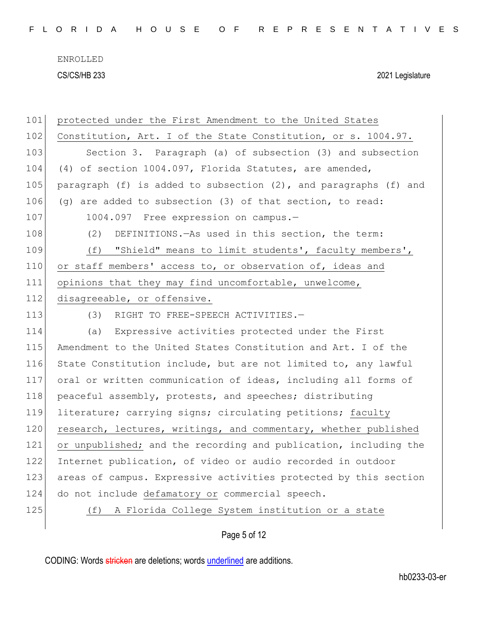| 101 | protected under the First Amendment to the United States            |
|-----|---------------------------------------------------------------------|
| 102 | Constitution, Art. I of the State Constitution, or s. 1004.97.      |
| 103 | Section 3. Paragraph (a) of subsection (3) and subsection           |
| 104 | (4) of section 1004.097, Florida Statutes, are amended,             |
| 105 | paragraph (f) is added to subsection $(2)$ , and paragraphs (f) and |
| 106 | (g) are added to subsection (3) of that section, to read:           |
| 107 | 1004.097 Free expression on campus.-                                |
| 108 | DEFINITIONS. - As used in this section, the term:<br>(2)            |
| 109 | (f) "Shield" means to limit students', faculty members',            |
| 110 | or staff members' access to, or observation of, ideas and           |
| 111 | opinions that they may find uncomfortable, unwelcome,               |
| 112 | disagreeable, or offensive.                                         |
| 113 | (3)<br>RIGHT TO FREE-SPEECH ACTIVITIES.-                            |
| 114 | Expressive activities protected under the First<br>(a)              |
| 115 | Amendment to the United States Constitution and Art. I of the       |
| 116 | State Constitution include, but are not limited to, any lawful      |
| 117 | oral or written communication of ideas, including all forms of      |
| 118 | peaceful assembly, protests, and speeches; distributing             |
| 119 | literature; carrying signs; circulating petitions; faculty          |
| 120 | research, lectures, writings, and commentary, whether published     |
| 121 | or unpublished; and the recording and publication, including the    |
| 122 | Internet publication, of video or audio recorded in outdoor         |
| 123 | areas of campus. Expressive activities protected by this section    |
| 124 | do not include defamatory or commercial speech.                     |
| 125 | A Florida College System institution or a state<br>(f)              |
|     |                                                                     |

## Page 5 of 12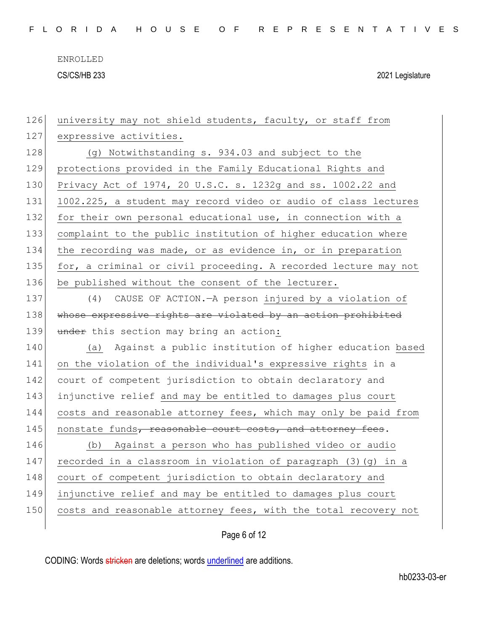|  |  |  |  |  |  |  |  |  |  |  |  |  |  | FLORIDA HOUSE OF REPRESENTATIVES |  |  |  |  |  |  |  |  |  |  |  |  |  |  |  |  |
|--|--|--|--|--|--|--|--|--|--|--|--|--|--|----------------------------------|--|--|--|--|--|--|--|--|--|--|--|--|--|--|--|--|
|--|--|--|--|--|--|--|--|--|--|--|--|--|--|----------------------------------|--|--|--|--|--|--|--|--|--|--|--|--|--|--|--|--|

| 126 | university may not shield students, faculty, or staff from      |
|-----|-----------------------------------------------------------------|
| 127 | expressive activities.                                          |
| 128 | (g) Notwithstanding s. 934.03 and subject to the                |
| 129 | protections provided in the Family Educational Rights and       |
| 130 | Privacy Act of 1974, 20 U.S.C. s. 1232g and ss. 1002.22 and     |
| 131 | 1002.225, a student may record video or audio of class lectures |
| 132 | for their own personal educational use, in connection with a    |
| 133 | complaint to the public institution of higher education where   |
| 134 | the recording was made, or as evidence in, or in preparation    |
| 135 | for, a criminal or civil proceeding. A recorded lecture may not |
| 136 | be published without the consent of the lecturer.               |
| 137 | CAUSE OF ACTION. - A person injured by a violation of<br>(4)    |
| 138 | whose expressive rights are violated by an action prohibited    |
| 139 | under this section may bring an action:                         |
| 140 | Against a public institution of higher education based<br>(a)   |
| 141 | on the violation of the individual's expressive rights in a     |
| 142 | court of competent jurisdiction to obtain declaratory and       |
| 143 | injunctive relief and may be entitled to damages plus court     |
| 144 | costs and reasonable attorney fees, which may only be paid from |
| 145 | nonstate funds, reasonable court costs, and attorney fees.      |
| 146 | (b) Against a person who has published video or audio           |
| 147 | recorded in a classroom in violation of paragraph (3) (g) in a  |
| 148 | court of competent jurisdiction to obtain declaratory and       |
| 149 | injunctive relief and may be entitled to damages plus court     |
| 150 | costs and reasonable attorney fees, with the total recovery not |
|     |                                                                 |

Page 6 of 12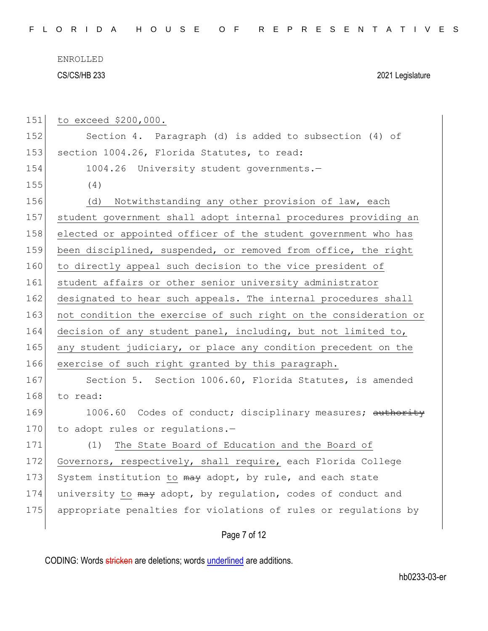F L O R I D A H O U S E O F R E P R E S E N T A T I V E S

ENROLLED CS/CS/HB 233 2021 Legislature

| 151 | to exceed \$200,000.                                             |
|-----|------------------------------------------------------------------|
| 152 | Section 4. Paragraph (d) is added to subsection (4) of           |
| 153 | section 1004.26, Florida Statutes, to read:                      |
| 154 | 1004.26 University student governments.-                         |
| 155 | (4)                                                              |
| 156 | Notwithstanding any other provision of law, each<br>(d)          |
| 157 | student government shall adopt internal procedures providing an  |
| 158 | elected or appointed officer of the student government who has   |
| 159 | been disciplined, suspended, or removed from office, the right   |
| 160 | to directly appeal such decision to the vice president of        |
| 161 | student affairs or other senior university administrator         |
| 162 | designated to hear such appeals. The internal procedures shall   |
| 163 | not condition the exercise of such right on the consideration or |
| 164 | decision of any student panel, including, but not limited to,    |
| 165 | any student judiciary, or place any condition precedent on the   |
| 166 | exercise of such right granted by this paragraph.                |
| 167 | Section 5. Section 1006.60, Florida Statutes, is amended         |
| 168 | to read:                                                         |
| 169 | 1006.60 Codes of conduct; disciplinary measures; authority       |
| 170 | to adopt rules or regulations.-                                  |
| 171 | The State Board of Education and the Board of<br>(1)             |
| 172 | Governors, respectively, shall require, each Florida College     |
| 173 | System institution to may adopt, by rule, and each state         |
| 174 | university to may adopt, by regulation, codes of conduct and     |
| 175 | appropriate penalties for violations of rules or regulations by  |
|     |                                                                  |

## Page 7 of 12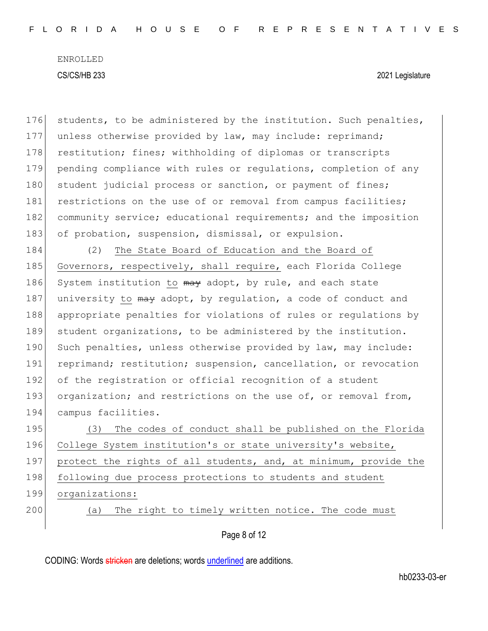176 students, to be administered by the institution. Such penalties, 177 unless otherwise provided by law, may include: reprimand; 178 restitution; fines; withholding of diplomas or transcripts 179 pending compliance with rules or regulations, completion of any 180 student judicial process or sanction, or payment of fines; 181 restrictions on the use of or removal from campus facilities; 182 community service; educational requirements; and the imposition 183 of probation, suspension, dismissal, or expulsion. 184 (2) The State Board of Education and the Board of 185 Governors, respectively, shall require, each Florida College 186 System institution to  $\frac{m}{y}$  adopt, by rule, and each state 187 university to may adopt, by regulation, a code of conduct and 188 appropriate penalties for violations of rules or regulations by 189 student organizations, to be administered by the institution. 190 Such penalties, unless otherwise provided by law, may include: 191 reprimand; restitution; suspension, cancellation, or revocation 192 of the registration or official recognition of a student 193 organization; and restrictions on the use of, or removal from, 194 campus facilities. 195 (3) The codes of conduct shall be published on the Florida 196 College System institution's or state university's website, 197 protect the rights of all students, and, at minimum, provide the 198 following due process protections to students and student

- 199 organizations:
- 

200 (a) The right to timely written notice. The code must

Page 8 of 12

CODING: Words stricken are deletions; words underlined are additions.

hb0233-03-er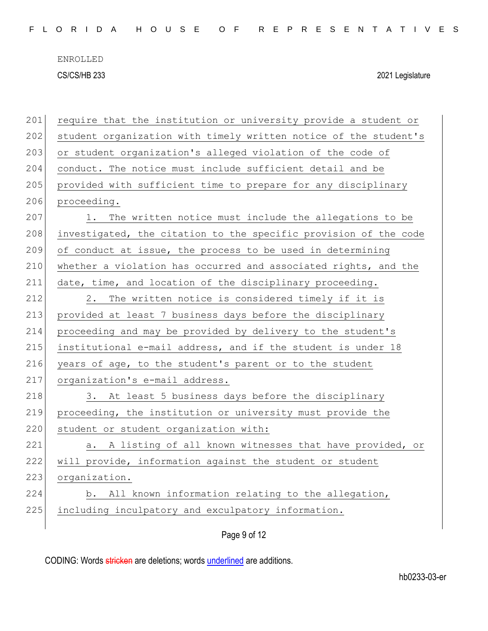| 201 | require that the institution or university provide a student or  |
|-----|------------------------------------------------------------------|
| 202 | student organization with timely written notice of the student's |
| 203 | or student organization's alleged violation of the code of       |
| 204 | conduct. The notice must include sufficient detail and be        |
| 205 | provided with sufficient time to prepare for any disciplinary    |
| 206 | proceeding.                                                      |
| 207 | The written notice must include the allegations to be<br>1.      |
| 208 | investigated, the citation to the specific provision of the code |
| 209 | of conduct at issue, the process to be used in determining       |
| 210 | whether a violation has occurred and associated rights, and the  |
| 211 | date, time, and location of the disciplinary proceeding.         |
| 212 | The written notice is considered timely if it is<br>2.           |
| 213 | provided at least 7 business days before the disciplinary        |
| 214 | proceeding and may be provided by delivery to the student's      |
| 215 | institutional e-mail address, and if the student is under 18     |
| 216 | years of age, to the student's parent or to the student          |
| 217 | organization's e-mail address.                                   |
| 218 | 3. At least 5 business days before the disciplinary              |
| 219 | proceeding, the institution or university must provide the       |
| 220 | student or student organization with:                            |
| 221 | A listing of all known witnesses that have provided, or<br>а.    |
| 222 | will provide, information against the student or student         |
| 223 | organization.                                                    |
| 224 | b. All known information relating to the allegation,             |
| 225 | including inculpatory and exculpatory information.               |
|     |                                                                  |

Page 9 of 12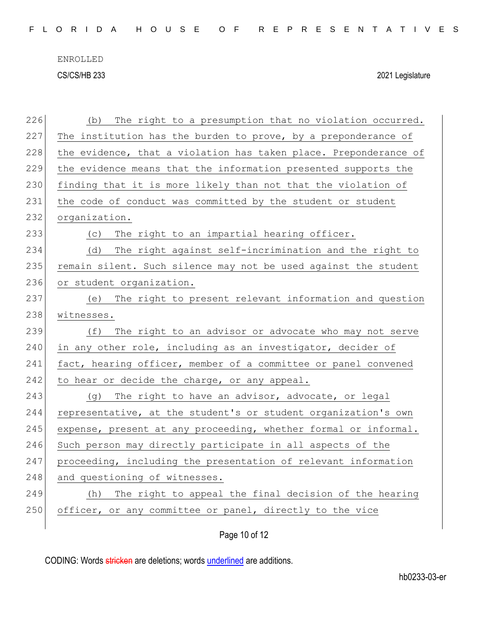F L O R I D A H O U S E O F R E P R E S E N T A T I V E S

ENROLLED CS/CS/HB 233 2021 Legislature

| 226 | The right to a presumption that no violation occurred.<br>(b)    |
|-----|------------------------------------------------------------------|
| 227 | The institution has the burden to prove, by a preponderance of   |
| 228 | the evidence, that a violation has taken place. Preponderance of |
| 229 | the evidence means that the information presented supports the   |
| 230 | finding that it is more likely than not that the violation of    |
| 231 | the code of conduct was committed by the student or student      |
| 232 | organization.                                                    |
| 233 | (c) The right to an impartial hearing officer.                   |
| 234 | (d) The right against self-incrimination and the right to        |
| 235 | remain silent. Such silence may not be used against the student  |
| 236 | or student organization.                                         |
| 237 | (e) The right to present relevant information and question       |
| 238 | witnesses.                                                       |
| 239 | The right to an advisor or advocate who may not serve<br>(f)     |
| 240 | in any other role, including as an investigator, decider of      |
| 241 | fact, hearing officer, member of a committee or panel convened   |
| 242 | to hear or decide the charge, or any appeal.                     |
| 243 | The right to have an advisor, advocate, or legal<br>(q)          |
| 244 | representative, at the student's or student organization's own   |
| 245 | expense, present at any proceeding, whether formal or informal.  |
| 246 | Such person may directly participate in all aspects of the       |
| 247 | proceeding, including the presentation of relevant information   |
| 248 | and questioning of witnesses.                                    |
| 249 | The right to appeal the final decision of the hearing<br>(h)     |
| 250 | officer, or any committee or panel, directly to the vice         |
|     |                                                                  |

Page 10 of 12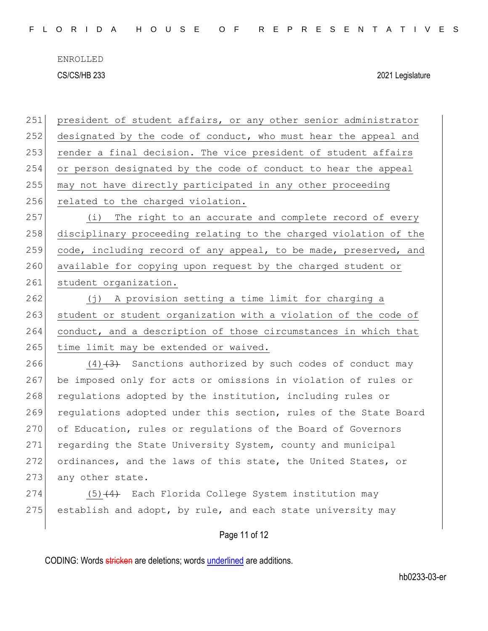ENROLLED

CS/CS/HB 233 2021 Legislature

251 president of student affairs, or any other senior administrator 252 designated by the code of conduct, who must hear the appeal and 253 render a final decision. The vice president of student affairs 254 or person designated by the code of conduct to hear the appeal 255 may not have directly participated in any other proceeding 256 related to the charged violation. 257 (i) The right to an accurate and complete record of every 258 disciplinary proceeding relating to the charged violation of the 259 code, including record of any appeal, to be made, preserved, and 260 available for copying upon request by the charged student or 261 student organization. 262 (j) A provision setting a time limit for charging a 263 student or student organization with a violation of the code of 264 conduct, and a description of those circumstances in which that 265 time limit may be extended or waived. 266  $(4)$   $(3)$  Sanctions authorized by such codes of conduct may 267 be imposed only for acts or omissions in violation of rules or 268 regulations adopted by the institution, including rules or 269 regulations adopted under this section, rules of the State Board 270 of Education, rules or regulations of the Board of Governors 271 regarding the State University System, county and municipal 272 ordinances, and the laws of this state, the United States, or 273 any other state. 274 (5)<del>(4)</del> Each Florida College System institution may

Page 11 of 12

275 establish and adopt, by rule, and each state university may

CODING: Words stricken are deletions; words underlined are additions.

hb0233-03-er